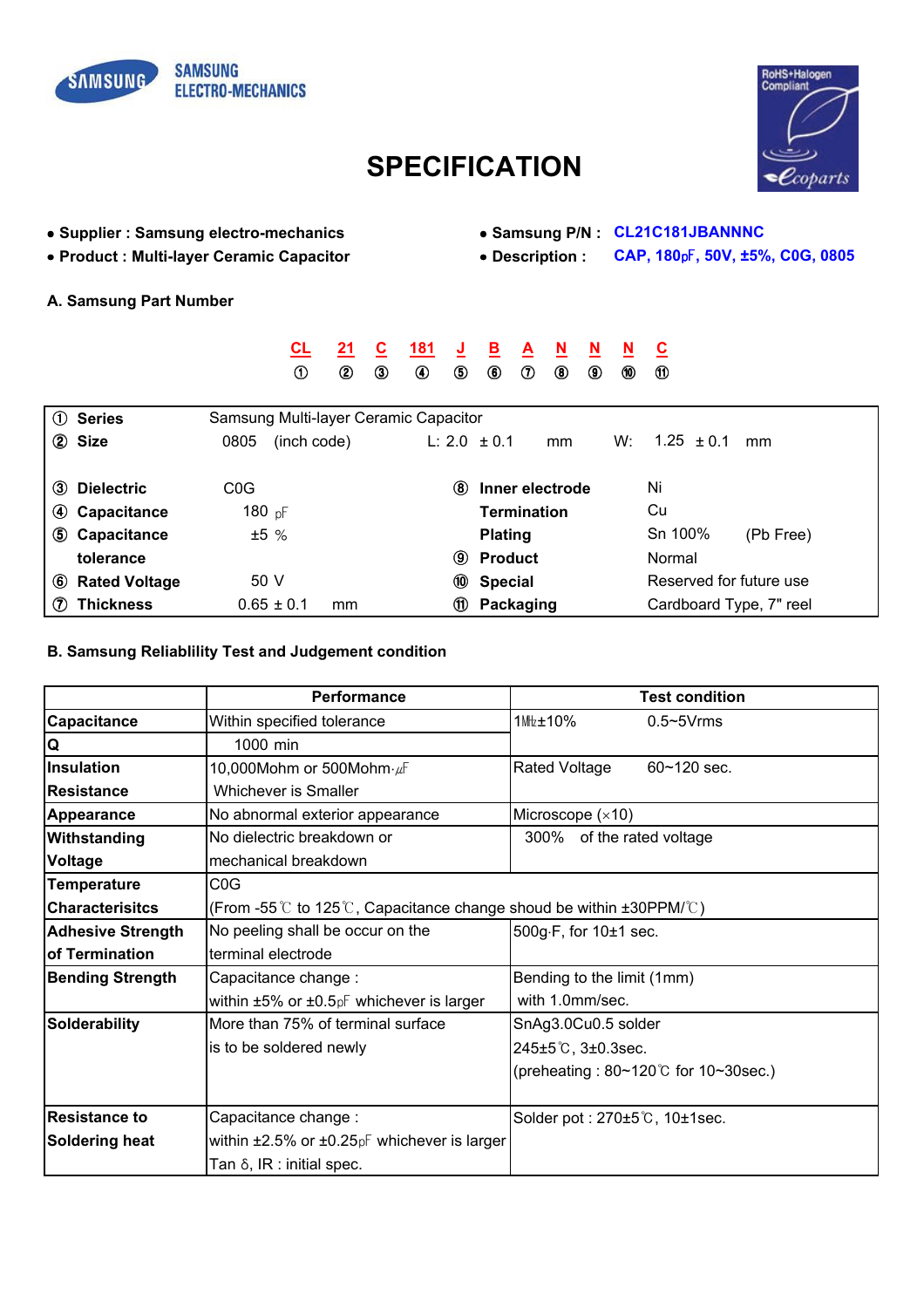



## **SPECIFICATION**

- Supplier : Samsung electro-mechanics Samsung P/N : CL21C181JBANNNC
- 
- 
- Product : Multi-layer Ceramic Capacitor Pescription : CAP, 180pF, 50V, ±5%, COG, 0805
- A. Samsung Part Number

|                   |                      |                                       | <u>CL</u>      | 21 | С                           | 181 | J    | <u>B</u>           | A            | N  | N          | N  | <u>ପ</u>       |                         |  |
|-------------------|----------------------|---------------------------------------|----------------|----|-----------------------------|-----|------|--------------------|--------------|----|------------|----|----------------|-------------------------|--|
|                   |                      |                                       | $^\circledR$   | ➁  | $_{\tiny{\textregistered}}$ | ◉   | ⑤    | $^\circledR$       | $^\circledR$ | ◉  | $^{\circ}$ | ⑩  | $\omega$       |                         |  |
|                   |                      |                                       |                |    |                             |     |      |                    |              |    |            |    |                |                         |  |
|                   | 1 Series             | Samsung Multi-layer Ceramic Capacitor |                |    |                             |     |      |                    |              |    |            |    |                |                         |  |
|                   | 2 Size               | 0805                                  | (inch code)    |    |                             |     |      | L: $2.0 \pm 0.1$   |              | mm |            | W: | $1.25 \pm 0.1$ | mm                      |  |
|                   |                      |                                       |                |    |                             |     |      |                    |              |    |            |    |                |                         |  |
| (3)               | <b>Dielectric</b>    | C <sub>0</sub> G                      |                |    |                             |     | (8)  | Inner electrode    |              |    |            |    | Ni             |                         |  |
|                   | 4 Capacitance        | 180 pF                                |                |    |                             |     |      | <b>Termination</b> |              |    |            |    | Cu             |                         |  |
|                   | 5 Capacitance        | ±5%                                   |                |    |                             |     |      | <b>Plating</b>     |              |    |            |    | Sn 100%        | (Pb Free)               |  |
|                   | tolerance            |                                       |                |    |                             |     | (9)  | <b>Product</b>     |              |    |            |    | Normal         |                         |  |
| (6)               | <b>Rated Voltage</b> | 50 V                                  |                |    |                             |     | (10) | <b>Special</b>     |              |    |            |    |                | Reserved for future use |  |
| $\left( 7\right)$ | <b>Thickness</b>     |                                       | $0.65 \pm 0.1$ | mm |                             |     | (1)  | Packaging          |              |    |            |    |                | Cardboard Type, 7" reel |  |

## B. Samsung Reliablility Test and Judgement condition

|                          | <b>Performance</b>                                                                              | <b>Test condition</b>                             |  |  |  |  |  |  |
|--------------------------|-------------------------------------------------------------------------------------------------|---------------------------------------------------|--|--|--|--|--|--|
| <b>Capacitance</b>       | Within specified tolerance                                                                      | 1Mtz±10%<br>$0.5 \sim 5V$ rms                     |  |  |  |  |  |  |
| Q                        | 1000 min                                                                                        |                                                   |  |  |  |  |  |  |
| Insulation               | 10,000Mohm or 500Mohm $\cdot \mu$ F                                                             | Rated Voltage<br>$60 - 120$ sec.                  |  |  |  |  |  |  |
| Resistance               | <b>Whichever is Smaller</b>                                                                     |                                                   |  |  |  |  |  |  |
| <b>Appearance</b>        | No abnormal exterior appearance                                                                 | Microscope $(x10)$                                |  |  |  |  |  |  |
| Withstanding             | No dielectric breakdown or                                                                      | 300% of the rated voltage                         |  |  |  |  |  |  |
| Voltage                  | mechanical breakdown                                                                            |                                                   |  |  |  |  |  |  |
| <b>Temperature</b>       | C <sub>0</sub> G                                                                                |                                                   |  |  |  |  |  |  |
| <b>Characterisitcs</b>   | (From -55 $\degree$ to 125 $\degree$ ), Capacitance change shoud be within ±30PPM/ $\degree$ C) |                                                   |  |  |  |  |  |  |
| <b>Adhesive Strength</b> | No peeling shall be occur on the                                                                | 500g $\cdot$ F, for 10 $\pm$ 1 sec.               |  |  |  |  |  |  |
| of Termination           | terminal electrode                                                                              |                                                   |  |  |  |  |  |  |
| <b>Bending Strength</b>  | Capacitance change:                                                                             | Bending to the limit (1mm)                        |  |  |  |  |  |  |
|                          | within $\pm 5\%$ or $\pm 0.5$ $pF$ whichever is larger                                          | with 1.0mm/sec.                                   |  |  |  |  |  |  |
| Solderability            | More than 75% of terminal surface                                                               | SnAg3.0Cu0.5 solder                               |  |  |  |  |  |  |
|                          | is to be soldered newly                                                                         | 245±5℃, 3±0.3sec.                                 |  |  |  |  |  |  |
|                          |                                                                                                 | (preheating: $80 \sim 120^{\circ}$ for 10~30sec.) |  |  |  |  |  |  |
|                          |                                                                                                 |                                                   |  |  |  |  |  |  |
| <b>Resistance to</b>     | Capacitance change:                                                                             | Solder pot: 270±5℃, 10±1sec.                      |  |  |  |  |  |  |
| <b>Soldering heat</b>    | within $\pm 2.5\%$ or $\pm 0.25pF$ whichever is larger                                          |                                                   |  |  |  |  |  |  |
|                          | Tan $\delta$ , IR : initial spec.                                                               |                                                   |  |  |  |  |  |  |